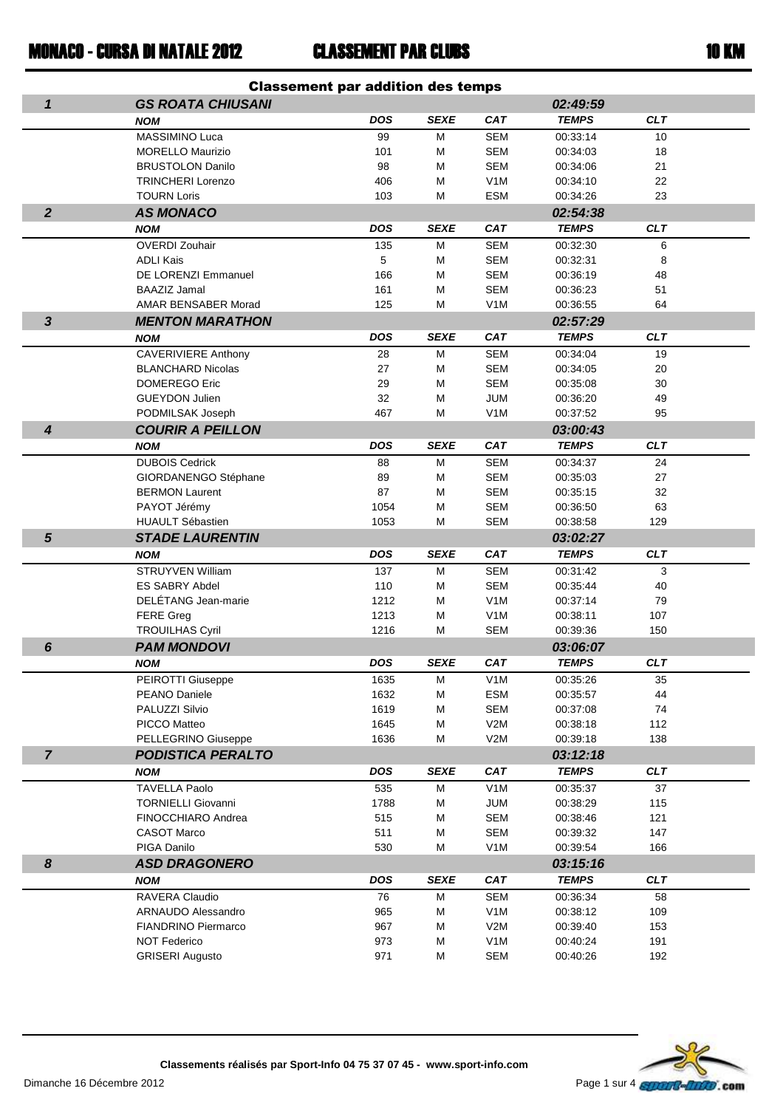## CLASSEMENT PAR CLUBS

|                  |                                              | <b>Classement par addition des temps</b> |             |                                |                      |            |  |
|------------------|----------------------------------------------|------------------------------------------|-------------|--------------------------------|----------------------|------------|--|
| $\mathbf{1}$     | <b>GS ROATA CHIUSANI</b>                     |                                          |             |                                | 02:49:59             |            |  |
|                  | <b>NOM</b>                                   | <b>DOS</b>                               | <b>SEXE</b> | <b>CAT</b>                     | <b>TEMPS</b>         | <b>CLT</b> |  |
|                  | MASSIMINO Luca                               | 99                                       | М           | <b>SEM</b>                     | 00:33:14             | 10         |  |
|                  | <b>MORELLO Maurizio</b>                      | 101                                      | М           | <b>SEM</b>                     | 00:34:03             | 18         |  |
|                  | <b>BRUSTOLON Danilo</b>                      | 98                                       | М           | <b>SEM</b>                     | 00:34:06             | 21         |  |
|                  | <b>TRINCHERI Lorenzo</b>                     | 406                                      | M           | V <sub>1</sub> M               | 00:34:10             | 22         |  |
|                  | <b>TOURN Loris</b>                           | 103                                      | М           | <b>ESM</b>                     | 00:34:26             | 23         |  |
| $\overline{2}$   | <b>AS MONACO</b>                             |                                          |             |                                | 02:54:38             |            |  |
|                  | <b>NOM</b>                                   | <b>DOS</b>                               | <b>SEXE</b> | <b>CAT</b>                     | <b>TEMPS</b>         | <b>CLT</b> |  |
|                  | OVERDI Zouhair                               | 135                                      | М           | <b>SEM</b>                     | 00:32:30             | 6          |  |
|                  | <b>ADLI Kais</b>                             | 5                                        | M           | <b>SEM</b>                     | 00:32:31             | 8          |  |
|                  | DE LORENZI Emmanuel                          | 166                                      | М           | <b>SEM</b>                     | 00:36:19             | 48         |  |
|                  | <b>BAAZIZ Jamal</b>                          | 161                                      | М           | <b>SEM</b>                     | 00:36:23             | 51         |  |
|                  | AMAR BENSABER Morad                          | 125                                      | M           | V <sub>1</sub> M               | 00:36:55             | 64         |  |
| $\mathbf{3}$     | <b>MENTON MARATHON</b>                       |                                          |             |                                | 02:57:29             |            |  |
|                  | <b>NOM</b>                                   | DOS                                      | <b>SEXE</b> | <b>CAT</b>                     | <b>TEMPS</b>         | <b>CLT</b> |  |
|                  | <b>CAVERIVIERE Anthony</b>                   | 28                                       | М           | <b>SEM</b>                     | 00:34:04             | 19         |  |
|                  | <b>BLANCHARD Nicolas</b>                     | 27                                       | М           | <b>SEM</b>                     | 00:34:05             | 20         |  |
|                  | <b>DOMEREGO Eric</b>                         | 29                                       | М           | <b>SEM</b>                     | 00:35:08             | 30         |  |
|                  | <b>GUEYDON Julien</b>                        | 32                                       | M           | <b>JUM</b>                     | 00:36:20             | 49         |  |
|                  | PODMILSAK Joseph                             | 467                                      | М           | V <sub>1</sub> M               | 00:37:52             | 95         |  |
| $\boldsymbol{4}$ | <b>COURIR A PEILLON</b>                      |                                          |             |                                | 03:00:43             |            |  |
|                  | <b>NOM</b>                                   | <b>DOS</b>                               | <b>SEXE</b> | <b>CAT</b>                     | <b>TEMPS</b>         | <b>CLT</b> |  |
|                  | <b>DUBOIS Cedrick</b>                        | 88                                       | М           | <b>SEM</b>                     | 00:34:37             | 24         |  |
|                  | GIORDANENGO Stéphane                         | 89                                       | M           | <b>SEM</b>                     | 00:35:03             | 27         |  |
|                  | <b>BERMON Laurent</b>                        | 87                                       | М           | <b>SEM</b>                     | 00:35:15             | 32         |  |
|                  | PAYOT Jérémy                                 | 1054                                     | M           | <b>SEM</b>                     | 00:36:50             | 63         |  |
|                  | <b>HUAULT Sébastien</b>                      | 1053                                     | М           | <b>SEM</b>                     | 00:38:58             | 129        |  |
| $5\phantom{1}$   | <b>STADE LAURENTIN</b>                       |                                          |             |                                | 03:02:27             |            |  |
|                  | <b>NOM</b>                                   | <b>DOS</b>                               | <b>SEXE</b> | <b>CAT</b>                     | <b>TEMPS</b>         | <b>CLT</b> |  |
|                  | STRUYVEN William                             | 137                                      | M           | <b>SEM</b>                     | 00:31:42             | 3          |  |
|                  | <b>ES SABRY Abdel</b><br>DELÉTANG Jean-marie | 110                                      | М           | <b>SEM</b><br>V <sub>1</sub> M | 00:35:44<br>00:37:14 | 40<br>79   |  |
|                  | <b>FERE Greg</b>                             | 1212<br>1213                             | М<br>M      | V <sub>1</sub> M               | 00:38:11             | 107        |  |
|                  | <b>TROUILHAS Cyril</b>                       | 1216                                     | М           | <b>SEM</b>                     | 00:39:36             | 150        |  |
| 6                | <b>PAM MONDOVI</b>                           |                                          |             |                                | 03:06:07             |            |  |
|                  |                                              | DOS                                      | SEXE        | CAT                            | <b>TEMPS</b>         | <b>CLT</b> |  |
|                  | <b>NOM</b>                                   |                                          |             |                                |                      |            |  |
|                  | PEIROTTI Giuseppe<br>PEANO Daniele           | 1635<br>1632                             | М<br>M      | V <sub>1</sub> M<br><b>ESM</b> | 00:35:26<br>00:35:57 | 35<br>44   |  |
|                  | PALUZZI Silvio                               | 1619                                     | M           | <b>SEM</b>                     | 00:37:08             | 74         |  |
|                  | PICCO Matteo                                 | 1645                                     | M           | V2M                            | 00:38:18             | 112        |  |
|                  | PELLEGRINO Giuseppe                          | 1636                                     | М           | V2M                            | 00:39:18             | 138        |  |
| $\overline{7}$   | <b>PODISTICA PERALTO</b>                     |                                          |             |                                | 03:12:18             |            |  |
|                  | <b>NOM</b>                                   | DOS                                      | <b>SEXE</b> | <b>CAT</b>                     | <b>TEMPS</b>         | <b>CLT</b> |  |
|                  | <b>TAVELLA Paolo</b>                         | 535                                      | М           | V <sub>1</sub> M               | 00:35:37             | 37         |  |
|                  | <b>TORNIELLI Giovanni</b>                    | 1788                                     | M           | <b>JUM</b>                     | 00:38:29             | 115        |  |
|                  | FINOCCHIARO Andrea                           | 515                                      | M           | SEM                            | 00:38:46             | 121        |  |
|                  | <b>CASOT Marco</b>                           | 511                                      | M           | <b>SEM</b>                     | 00:39:32             | 147        |  |
|                  | PIGA Danilo                                  | 530                                      | М           | V <sub>1</sub> M               | 00:39:54             | 166        |  |
| 8                | <b>ASD DRAGONERO</b>                         |                                          |             |                                | 03:15:16             |            |  |
|                  | <b>NOM</b>                                   | <b>DOS</b>                               | <b>SEXE</b> | <b>CAT</b>                     | <b>TEMPS</b>         | <b>CLT</b> |  |
|                  | RAVERA Claudio                               | 76                                       | М           | <b>SEM</b>                     | 00:36:34             | 58         |  |
|                  | ARNAUDO Alessandro                           | 965                                      | M           | V1M                            | 00:38:12             | 109        |  |
|                  | <b>FIANDRINO Piermarco</b>                   | 967                                      | M           | V2M                            | 00:39:40             | 153        |  |
|                  | <b>NOT Federico</b>                          | 973                                      | M           | V <sub>1</sub> M               | 00:40:24             | 191        |  |
|                  | <b>GRISERI Augusto</b>                       | 971                                      | M           | <b>SEM</b>                     | 00:40:26             | 192        |  |



Dimanche 16 Décembre 2012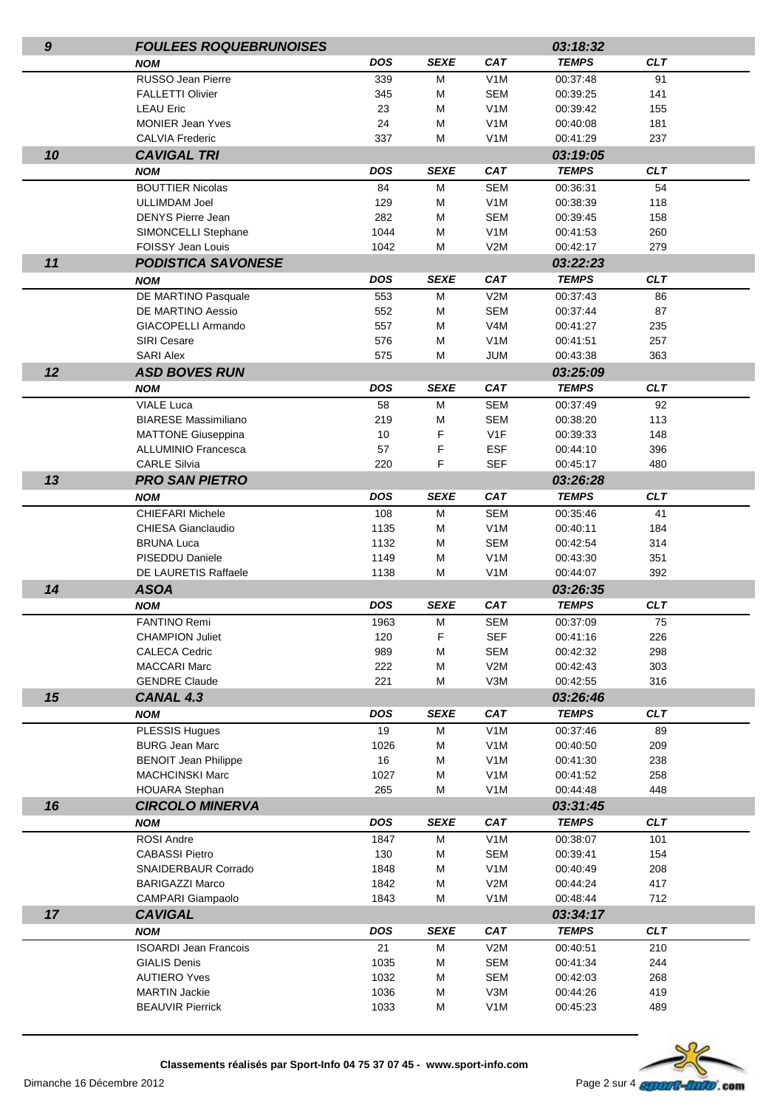| $\boldsymbol{g}$ | <b>FOULEES ROQUEBRUNOISES</b>                         |             |             |                                      | 03:18:32             |            |  |
|------------------|-------------------------------------------------------|-------------|-------------|--------------------------------------|----------------------|------------|--|
|                  | <b>NOM</b>                                            | <b>DOS</b>  | <b>SEXE</b> | <b>CAT</b>                           | <b>TEMPS</b>         | <b>CLT</b> |  |
|                  | RUSSO Jean Pierre                                     | 339         | м           | V <sub>1</sub> M                     | 00:37:48             | 91         |  |
|                  | <b>FALLETTI Olivier</b>                               | 345         | М           | <b>SEM</b>                           | 00:39:25             | 141        |  |
|                  | <b>LEAU Eric</b>                                      | 23          | M           | V <sub>1</sub> M                     | 00:39:42             | 155        |  |
|                  | <b>MONIER Jean Yves</b>                               | 24          | M           | V <sub>1</sub> M                     | 00:40:08             | 181        |  |
|                  | <b>CALVIA Frederic</b>                                | 337         | М           | V <sub>1</sub> M                     | 00:41:29             | 237        |  |
| 10               | <b>CAVIGAL TRI</b>                                    |             |             |                                      | 03:19:05             |            |  |
|                  | <b>NOM</b>                                            | DOS         | <b>SEXE</b> | <b>CAT</b>                           | <b>TEMPS</b>         | <b>CLT</b> |  |
|                  | <b>BOUTTIER Nicolas</b>                               | 84          | M           | <b>SEM</b>                           | 00:36:31             | 54         |  |
|                  | <b>ULLIMDAM Joel</b>                                  | 129         | M           | V <sub>1</sub> M                     | 00:38:39             | 118        |  |
|                  | <b>DENYS Pierre Jean</b>                              | 282         | M           | <b>SEM</b>                           | 00:39:45             | 158        |  |
|                  | SIMONCELLI Stephane                                   | 1044        | М           | V <sub>1</sub> M                     | 00:41:53             | 260        |  |
|                  | FOISSY Jean Louis                                     | 1042        | М           | V2M                                  | 00:42:17             | 279        |  |
| 11               | <b>PODISTICA SAVONESE</b>                             |             |             |                                      | 03:22:23             |            |  |
|                  | <b>NOM</b>                                            | DOS         | <b>SEXE</b> | <b>CAT</b>                           | <b>TEMPS</b>         | <b>CLT</b> |  |
|                  | DE MARTINO Pasquale                                   | 553         | M           | V2M                                  | 00:37:43             | 86         |  |
|                  | DE MARTINO Aessio                                     | 552         | M           | <b>SEM</b>                           | 00:37:44             | 87         |  |
|                  | GIACOPELLI Armando                                    | 557         | M           | V <sub>4</sub> M                     | 00:41:27             | 235        |  |
|                  | <b>SIRI Cesare</b>                                    | 576         | M           | V <sub>1</sub> M                     | 00:41:51             | 257        |  |
|                  | <b>SARI Alex</b>                                      | 575         | М           | <b>JUM</b>                           | 00:43:38             | 363        |  |
| 12               | <b>ASD BOVES RUN</b>                                  |             |             |                                      | 03:25:09             |            |  |
|                  | <b>NOM</b>                                            | DOS         | <b>SEXE</b> | <b>CAT</b>                           | <b>TEMPS</b>         | <b>CLT</b> |  |
|                  | <b>VIALE Luca</b>                                     | 58          | M           | <b>SEM</b>                           | 00:37:49             | 92         |  |
|                  | <b>BIARESE Massimiliano</b>                           | 219         | M           | <b>SEM</b>                           | 00:38:20             | 113        |  |
|                  | <b>MATTONE Giuseppina</b>                             | 10          | F           | V <sub>1</sub> F                     | 00:39:33             | 148        |  |
|                  | <b>ALLUMINIO Francesca</b>                            | 57          | F           | <b>ESF</b>                           | 00:44:10             | 396        |  |
|                  | <b>CARLE Silvia</b>                                   | 220         | F           | <b>SEF</b>                           | 00:45:17             | 480        |  |
| 13               | <b>PRO SAN PIETRO</b>                                 |             |             |                                      | 03:26:28             |            |  |
|                  | <b>NOM</b>                                            | DOS         | <b>SEXE</b> | <b>CAT</b>                           | <b>TEMPS</b>         | <b>CLT</b> |  |
|                  | <b>CHIEFARI Michele</b>                               | 108         | M           | <b>SEM</b>                           | 00:35:46             | 41         |  |
|                  | CHIESA Gianclaudio                                    | 1135        | M           | V <sub>1</sub> M                     | 00:40:11             | 184        |  |
|                  | <b>BRUNA Luca</b>                                     | 1132        | M           | <b>SEM</b>                           | 00:42:54             | 314        |  |
|                  | PISEDDU Daniele                                       | 1149        | M           | V <sub>1</sub> M                     | 00:43:30             | 351        |  |
|                  | DE LAURETIS Raffaele                                  | 1138        | М           | V <sub>1</sub> M                     | 00:44:07             | 392        |  |
| 14               | <b>ASOA</b>                                           |             |             |                                      | 03:26:35             |            |  |
|                  | <b>NOM</b>                                            | <b>DOS</b>  | <b>SEXE</b> | <b>CAT</b>                           | <b>TEMPS</b>         | <b>CLT</b> |  |
|                  | <b>FANTINO Remi</b>                                   | 1963        | м           | <b>SEM</b>                           | 00:37:09             | 75         |  |
|                  | <b>CHAMPION Juliet</b>                                | 120         | F           | <b>SEF</b>                           | 00:41:16             | 226        |  |
|                  | <b>CALECA Cedric</b>                                  | 989         | M           | <b>SEM</b>                           | 00:42:32             | 298        |  |
|                  | <b>MACCARI Marc</b>                                   | 222         | M           | V2M                                  | 00:42:43             | 303        |  |
|                  | <b>GENDRE Claude</b>                                  | 221         | M           | V3M                                  | 00:42:55             | 316        |  |
| 15               | CANAL 4.3                                             |             |             |                                      | 03:26:46             |            |  |
|                  | <b>NOM</b>                                            | <b>DOS</b>  | <b>SEXE</b> | <b>CAT</b>                           | <b>TEMPS</b>         | CLT        |  |
|                  | <b>PLESSIS Hugues</b>                                 | 19          | M           | V <sub>1</sub> M                     | 00:37:46             | 89         |  |
|                  | <b>BURG Jean Marc</b>                                 | 1026        | м           | V <sub>1</sub> M                     | 00:40:50             | 209        |  |
|                  | <b>BENOIT Jean Philippe</b><br><b>MACHCINSKI Marc</b> | 16<br>1027  | M           | V <sub>1</sub> M<br>V <sub>1</sub> M | 00:41:30<br>00:41:52 | 238<br>258 |  |
|                  | <b>HOUARA Stephan</b>                                 | 265         | М<br>М      | V1M                                  | 00:44:48             | 448        |  |
| 16               | <b>CIRCOLO MINERVA</b>                                |             |             |                                      |                      |            |  |
|                  |                                                       | <b>DOS</b>  |             |                                      | 03:31:45             | <b>CLT</b> |  |
|                  | <b>NOM</b>                                            |             | <b>SEXE</b> | <b>CAT</b>                           | <b>TEMPS</b>         |            |  |
|                  | <b>ROSI Andre</b><br><b>CABASSI Pietro</b>            | 1847        | M           | V <sub>1</sub> M                     | 00:38:07             | 101        |  |
|                  | SNAIDERBAUR Corrado                                   | 130<br>1848 | M<br>M      | <b>SEM</b><br>V <sub>1</sub> M       | 00:39:41<br>00:40:49 | 154<br>208 |  |
|                  | <b>BARIGAZZI Marco</b>                                | 1842        | M           | V2M                                  | 00:44:24             | 417        |  |
|                  | CAMPARI Giampaolo                                     | 1843        | M           | V <sub>1</sub> M                     | 00:48:44             | 712        |  |
| 17               | <b>CAVIGAL</b>                                        |             |             |                                      | 03:34:17             |            |  |
|                  | <b>NOM</b>                                            | <b>DOS</b>  | <b>SEXE</b> | <b>CAT</b>                           | <b>TEMPS</b>         | <b>CLT</b> |  |
|                  | <b>ISOARDI Jean Francois</b>                          | 21          | M           | V2M                                  | 00:40:51             | 210        |  |
|                  | <b>GIALIS Denis</b>                                   | 1035        | M           | SEM                                  | 00:41:34             | 244        |  |
|                  | <b>AUTIERO Yves</b>                                   | 1032        | M           | <b>SEM</b>                           | 00:42:03             | 268        |  |
|                  | <b>MARTIN Jackie</b>                                  | 1036        | M           | V3M                                  | 00:44:26             | 419        |  |
|                  | <b>BEAUVIR Pierrick</b>                               | 1033        | М           | V1M                                  | 00:45:23             | 489        |  |
|                  |                                                       |             |             |                                      |                      |            |  |



Dimanche 16 Décembre 2012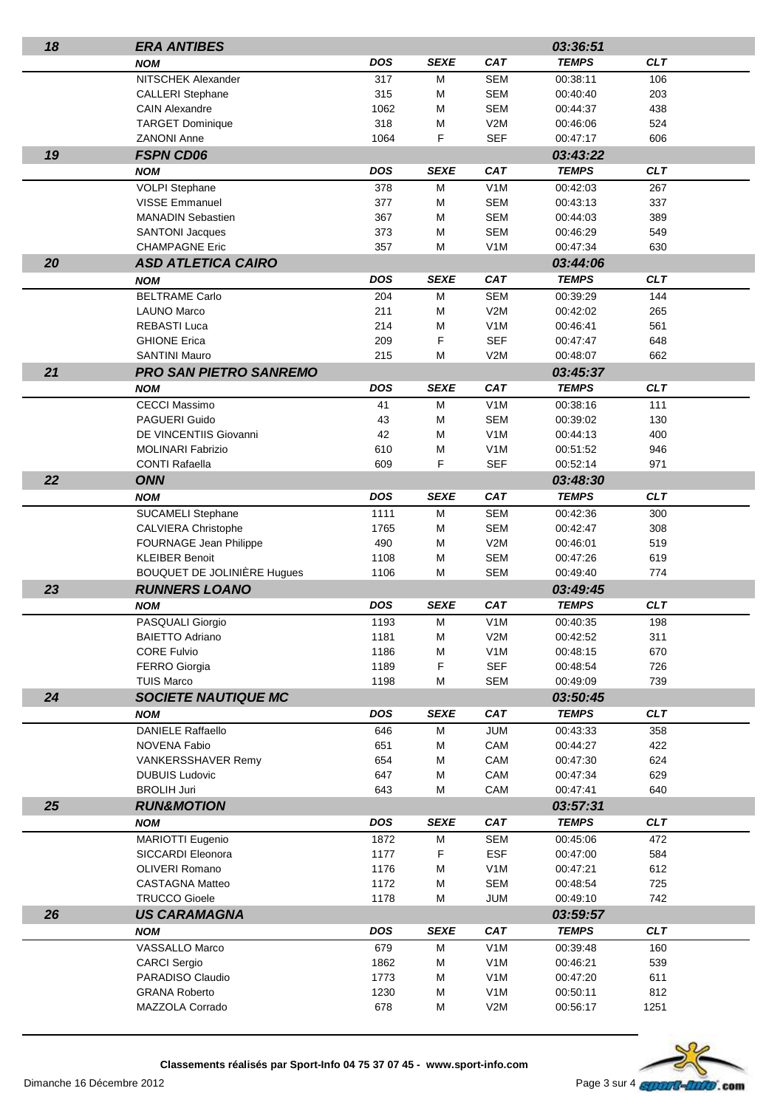| 18 | <b>ERA ANTIBES</b>                 |            |             |                  | 03:36:51     |            |  |
|----|------------------------------------|------------|-------------|------------------|--------------|------------|--|
|    | <b>NOM</b>                         | DOS        | <b>SEXE</b> | <b>CAT</b>       | <b>TEMPS</b> | <b>CLT</b> |  |
|    | NITSCHEK Alexander                 | 317        | М           | <b>SEM</b>       | 00:38:11     | 106        |  |
|    | <b>CALLERI</b> Stephane            | 315        | М           | <b>SEM</b>       | 00:40:40     | 203        |  |
|    | <b>CAIN Alexandre</b>              | 1062       | M           | <b>SEM</b>       | 00:44:37     | 438        |  |
|    | <b>TARGET Dominique</b>            | 318        | M           | V2M              | 00:46:06     | 524        |  |
|    | <b>ZANONI Anne</b>                 | 1064       | F           | <b>SEF</b>       | 00:47:17     | 606        |  |
| 19 | <b>FSPN CD06</b>                   |            |             |                  | 03:43:22     |            |  |
|    | <b>NOM</b>                         | <b>DOS</b> | <b>SEXE</b> | <b>CAT</b>       | <b>TEMPS</b> | <b>CLT</b> |  |
|    | <b>VOLPI Stephane</b>              | 378        | М           | V <sub>1</sub> M | 00:42:03     | 267        |  |
|    | <b>VISSE Emmanuel</b>              | 377        | М           | <b>SEM</b>       | 00:43:13     | 337        |  |
|    | <b>MANADIN Sebastien</b>           | 367        | M           | <b>SEM</b>       | 00:44:03     | 389        |  |
|    | <b>SANTONI Jacques</b>             | 373        | M           | <b>SEM</b>       | 00:46:29     | 549        |  |
|    | <b>CHAMPAGNE Eric</b>              | 357        | М           | V <sub>1</sub> M | 00:47:34     | 630        |  |
| 20 | <b>ASD ATLETICA CAIRO</b>          |            |             |                  | 03:44:06     |            |  |
|    | <b>NOM</b>                         | <b>DOS</b> | <b>SEXE</b> | <b>CAT</b>       | <b>TEMPS</b> | <b>CLT</b> |  |
|    | <b>BELTRAME Carlo</b>              | 204        | M           | <b>SEM</b>       | 00:39:29     | 144        |  |
|    | <b>LAUNO Marco</b>                 | 211        | M           | V2M              | 00:42:02     | 265        |  |
|    | <b>REBASTI Luca</b>                | 214        | M           | V <sub>1</sub> M | 00:46:41     | 561        |  |
|    | <b>GHIONE Erica</b>                | 209        | F           | <b>SEF</b>       | 00:47:47     | 648        |  |
|    | <b>SANTINI Mauro</b>               | 215        | M           | V2M              | 00:48:07     | 662        |  |
| 21 | <b>PRO SAN PIETRO SANREMO</b>      |            |             |                  | 03:45:37     |            |  |
|    | <b>NOM</b>                         | <b>DOS</b> | <b>SEXE</b> | <b>CAT</b>       | <b>TEMPS</b> | <b>CLT</b> |  |
|    | <b>CECCI Massimo</b>               | 41         | M           | V <sub>1</sub> M | 00:38:16     | 111        |  |
|    | PAGUERI Guido                      | 43         | M           | <b>SEM</b>       | 00:39:02     | 130        |  |
|    | DE VINCENTIIS Giovanni             | 42         | М           | V <sub>1</sub> M | 00:44:13     | 400        |  |
|    | <b>MOLINARI Fabrizio</b>           | 610        | M           | V <sub>1</sub> M | 00:51:52     | 946        |  |
|    | <b>CONTI Rafaella</b>              | 609        | F           | <b>SEF</b>       | 00:52:14     | 971        |  |
| 22 | <b>ONN</b>                         |            |             |                  | 03:48:30     |            |  |
|    | <b>NOM</b>                         | DOS        | <b>SEXE</b> | <b>CAT</b>       | <b>TEMPS</b> | CLT        |  |
|    | SUCAMELI Stephane                  | 1111       | M           | <b>SEM</b>       | 00:42:36     | 300        |  |
|    | <b>CALVIERA Christophe</b>         | 1765       | M           | <b>SEM</b>       | 00:42:47     | 308        |  |
|    | FOURNAGE Jean Philippe             | 490        | M           | V2M              | 00:46:01     | 519        |  |
|    | <b>KLEIBER Benoit</b>              | 1108       | M           | <b>SEM</b>       | 00:47:26     | 619        |  |
|    | <b>BOUQUET DE JOLINIÈRE Hugues</b> | 1106       | M           | <b>SEM</b>       | 00:49:40     | 774        |  |
| 23 | <b>RUNNERS LOANO</b>               |            |             |                  | 03:49:45     |            |  |
|    | <b>NOM</b>                         | <b>DOS</b> | <b>SEXE</b> | <b>CAT</b>       | <b>TEMPS</b> | <b>CLT</b> |  |
|    | PASQUALI Giorgio                   | 1193       | М           | V <sub>1</sub> M | 00:40:35     | 198        |  |
|    | <b>BAIETTO Adriano</b>             | 1181       | M           | V2M              | 00:42:52     | 311        |  |
|    | <b>CORE Fulvio</b>                 | 1186       | M           | V <sub>1</sub> M | 00:48:15     | 670        |  |
|    | <b>FERRO Giorgia</b>               | 1189       | F           | <b>SEF</b>       | 00:48:54     | 726        |  |
|    | <b>TUIS Marco</b>                  | 1198       | M           | <b>SEM</b>       | 00:49:09     | 739        |  |
| 24 | <b>SOCIETE NAUTIQUE MC</b>         |            |             |                  | 03:50:45     |            |  |
|    | <b>NOM</b>                         | <b>DOS</b> | <b>SEXE</b> | <b>CAT</b>       | <b>TEMPS</b> | CLT        |  |
|    | <b>DANIELE Raffaello</b>           | 646        | M           | <b>JUM</b>       | 00:43:33     | 358        |  |
|    | <b>NOVENA Fabio</b>                | 651        | М           | CAM              | 00:44:27     | 422        |  |
|    | <b>VANKERSSHAVER Remy</b>          | 654        | М           | CAM              | 00:47:30     | 624        |  |
|    | <b>DUBUIS Ludovic</b>              | 647        | М           | CAM              | 00:47:34     | 629        |  |
|    | <b>BROLIH Juri</b>                 | 643        | М           | CAM              | 00:47:41     | 640        |  |
| 25 | <b>RUN&amp;MOTION</b>              |            |             |                  | 03:57:31     |            |  |
|    | <b>NOM</b>                         | <b>DOS</b> | <b>SEXE</b> | <b>CAT</b>       | <b>TEMPS</b> | <b>CLT</b> |  |
|    | <b>MARIOTTI Eugenio</b>            | 1872       | М           | <b>SEM</b>       | 00:45:06     | 472        |  |
|    | SICCARDI Eleonora                  | 1177       | F           | <b>ESF</b>       | 00:47:00     | 584        |  |
|    | <b>OLIVERI Romano</b>              | 1176       | M           | V <sub>1</sub> M | 00:47:21     | 612        |  |
|    | <b>CASTAGNA Matteo</b>             | 1172       | M           | <b>SEM</b>       | 00:48:54     | 725        |  |
|    | <b>TRUCCO Gioele</b>               | 1178       | M           | <b>JUM</b>       | 00:49:10     | 742        |  |
| 26 | <b>US CARAMAGNA</b>                |            |             |                  | 03:59:57     |            |  |
|    | <b>NOM</b>                         | <b>DOS</b> | <b>SEXE</b> | <b>CAT</b>       | <b>TEMPS</b> | CLT        |  |
|    | VASSALLO Marco                     | 679        | M           | V <sub>1</sub> M | 00:39:48     | 160        |  |
|    | <b>CARCI Sergio</b>                | 1862       | М           | V <sub>1</sub> M | 00:46:21     | 539        |  |
|    | PARADISO Claudio                   | 1773       | M           | V <sub>1</sub> M | 00:47:20     | 611        |  |
|    | <b>GRANA Roberto</b>               | 1230       | M           | V <sub>1</sub> M | 00:50:11     | 812        |  |
|    | MAZZOLA Corrado                    | 678        | М           | V2M              | 00:56:17     | 1251       |  |
|    |                                    |            |             |                  |              |            |  |